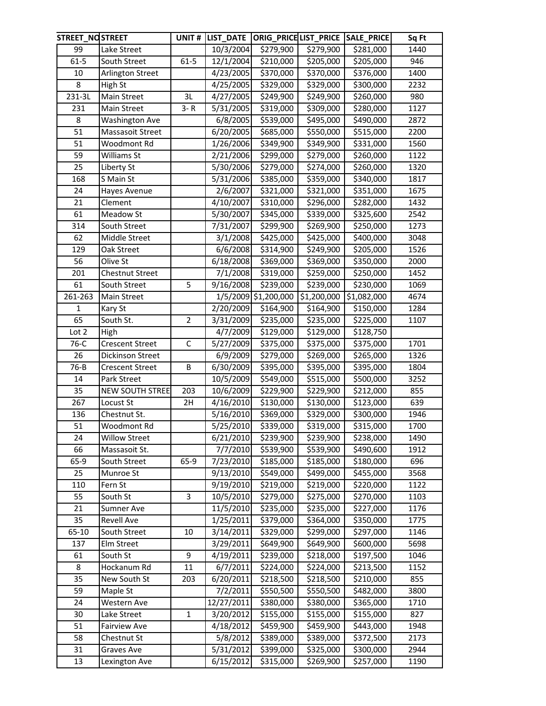| STREET_NOSTREET |                        | UNIT#          |                        |                       |                       | LIST_DATE  ORIG_PRICE LIST_PRICE  SALE_PRICE | Sq Ft |
|-----------------|------------------------|----------------|------------------------|-----------------------|-----------------------|----------------------------------------------|-------|
| 99              | Lake Street            |                | 10/3/2004              | \$279,900             | \$279,900             | \$281,000                                    | 1440  |
| $61 - 5$        | South Street           | $61 - 5$       | 12/1/2004              | \$210,000             | \$205,000             | \$205,000                                    | 946   |
| 10              | Arlington Street       |                | 4/23/2005              | \$370,000             | \$370,000             | \$376,000                                    | 1400  |
| 8               | High St                |                | 4/25/2005              | \$329,000             | \$329,000             | \$300,000                                    | 2232  |
| 231-3L          | Main Street            | 3L             | 4/27/2005              | \$249,900             | \$249,900             | \$260,000                                    | 980   |
| 231             | Main Street            | $3 - R$        | 5/31/2005              | \$319,000             | \$309,000             | \$280,000                                    | 1127  |
| 8               | <b>Washington Ave</b>  |                | 6/8/2005               | \$539,000             | \$495,000             | \$490,000                                    | 2872  |
| 51              | Massasoit Street       |                | 6/20/2005              | \$685,000             | \$550,000             | \$515,000                                    | 2200  |
| 51              | Woodmont Rd            |                | 1/26/2006              | \$349,900             | \$349,900             | \$331,000                                    | 1560  |
| 59              | Williams St            |                | 2/21/2006              | \$299,000             | \$279,000             | \$260,000                                    | 1122  |
| 25              | Liberty St             |                | 5/30/2006              | \$279,000             | \$274,000             | \$260,000                                    | 1320  |
| 168             | S Main St              |                | 5/31/2006              | \$385,000             | \$359,000             | \$340,000                                    | 1817  |
| 24              | Hayes Avenue           |                | 2/6/2007               | \$321,000             | \$321,000             | \$351,000                                    | 1675  |
| 21              | Clement                |                | 4/10/2007              | \$310,000             | \$296,000             | \$282,000                                    | 1432  |
| 61              | Meadow St              |                | 5/30/2007              | \$345,000             | \$339,000             | \$325,600                                    | 2542  |
| 314             | South Street           |                | 7/31/2007              | \$299,900             | \$269,900             | \$250,000                                    | 1273  |
| 62              | Middle Street          |                | 3/1/2008               | \$425,000             | \$425,000             | \$400,000                                    | 3048  |
| 129             | Oak Street             |                | 6/6/2008               | \$314,900             | \$249,900             | \$205,000                                    | 1526  |
| 56              | Olive St               |                | 6/18/2008              | \$369,000             | \$369,000             | \$350,000                                    | 2000  |
| 201             | Chestnut Street        |                | 7/1/2008               | \$319,000             | \$259,000             | \$250,000                                    | 1452  |
| 61              | South Street           | 5              | 9/16/2008              | \$239,000             | \$239,000             | \$230,000                                    | 1069  |
| 261-263         | Main Street            |                |                        | 1/5/2009 \$1,200,000  | \$1,200,000           | \$1,082,000                                  | 4674  |
| $\mathbf{1}$    | Kary St                |                | 2/20/2009              | \$164,900             | \$164,900             | \$150,000                                    | 1284  |
| 65              | South St.              | $\overline{2}$ | 3/31/2009              | \$235,000             | \$235,000             | \$225,000                                    | 1107  |
| Lot 2           | High                   |                | 4/7/2009               | \$129,000             | \$129,000             | \$128,750                                    |       |
| 76-C            | Crescent Street        | $\mathsf C$    | 5/27/2009              | \$375,000             | \$375,000             | \$375,000                                    | 1701  |
| 26              | Dickinson Street       |                | 6/9/2009               | \$279,000             | \$269,000             | \$265,000                                    | 1326  |
| 76-B            | <b>Crescent Street</b> | B              | 6/30/2009              | \$395,000             | \$395,000             | \$395,000                                    | 1804  |
| 14              | Park Street            |                | 10/5/2009              | \$549,000             | \$515,000             | \$500,000                                    | 3252  |
| 35              | <b>NEW SOUTH STREE</b> | 203            | 10/6/2009              | \$229,900             | \$229,900             | \$212,000                                    | 855   |
| 267             | Locust St              | 2H             | 4/16/2010              | $\overline{$}130,000$ | \$130,000             | \$123,000                                    | 639   |
| 136             | Chestnut St.           |                | 5/16/2010              | \$369,000             | \$329,000             | \$300,000                                    | 1946  |
| 51              | Woodmont Rd            |                | 5/25/2010              | $\overline{$}339,000$ | $\overline{$}319,000$ | \$315,000                                    | 1700  |
| 24              | <b>Willow Street</b>   |                | 6/21/2010              | \$239,900             | \$239,900             | \$238,000                                    | 1490  |
| 66              | Massasoit St.          |                | 7/7/2010               | \$539,900             | \$539,900             | \$490,600                                    | 1912  |
| 65-9            | South Street           | 65-9           | 7/23/2010              | \$185,000             | \$185,000             | \$180,000                                    | 696   |
| 25              | Munroe St              |                | 9/13/2010              | \$549,000             | \$499,000             | \$455,000                                    | 3568  |
| 110             | Fern St                |                | 9/19/2010              | \$219,000             | \$219,000             | \$220,000                                    | 1122  |
| 55              | South St               | 3              | 10/5/2010              | \$279,000             | \$275,000             | \$270,000                                    | 1103  |
| 21              | Sumner Ave             |                | 11/5/2010              | \$235,000             | \$235,000             | \$227,000                                    | 1176  |
| 35              | <b>Revell Ave</b>      |                | $\overline{1}/25/2011$ | \$379,000             | \$364,000             | \$350,000                                    | 1775  |
| 65-10           | South Street           | 10             | 3/14/2011              | \$329,000             | \$299,000             | \$297,000                                    | 1146  |
| 137             | Elm Street             |                | 3/29/2011              | \$649,900             | \$649,900             | \$600,000                                    | 5698  |
| 61              | South St               | 9              | 4/19/2011              | \$239,000             | \$218,000             | \$197,500                                    | 1046  |
| 8               | Hockanum Rd            | 11             | 6/7/2011               | \$224,000             | \$224,000             | \$213,500                                    | 1152  |
| 35              | New South St           | 203            | 6/20/2011              | \$218,500             | \$218,500             | \$210,000                                    | 855   |
| 59              | Maple St               |                | 7/2/2011               | \$550,500             | \$550,500             | \$482,000                                    | 3800  |
| 24              | Western Ave            |                | 12/27/2011             | \$380,000             | \$380,000             | \$365,000                                    | 1710  |
| 30              | Lake Street            | $\mathbf{1}$   | 3/20/2012              | \$155,000             | \$155,000             | \$155,000                                    | 827   |
| 51              | <b>Fairview Ave</b>    |                | 4/18/2012              | \$459,900             | \$459,900             | \$443,000                                    | 1948  |
| 58              | Chestnut St            |                | 5/8/2012               | \$389,000             | \$389,000             | \$372,500                                    | 2173  |
| 31              | Graves Ave             |                | 5/31/2012              | \$399,000             | \$325,000             | \$300,000                                    | 2944  |
| 13              | Lexington Ave          |                | 6/15/2012              | \$315,000             | \$269,900             | \$257,000                                    | 1190  |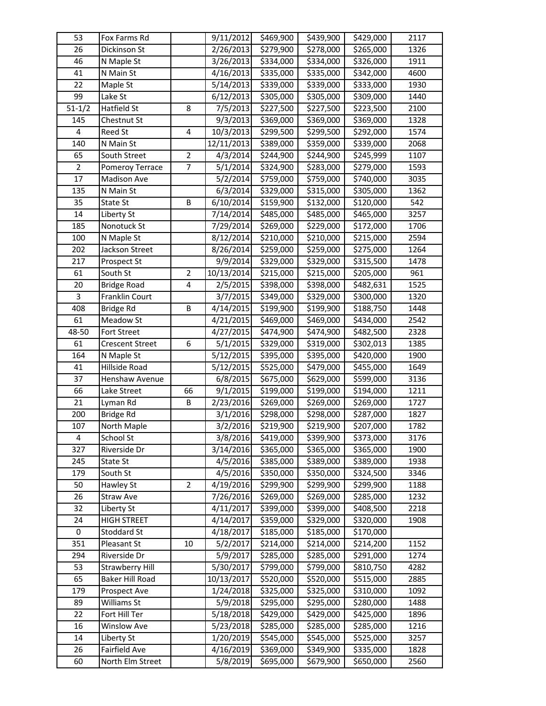| 53             | Fox Farms Rd           |                | 9/11/2012              | \$469,900             | \$439,900 | \$429,000 | 2117 |
|----------------|------------------------|----------------|------------------------|-----------------------|-----------|-----------|------|
| 26             | Dickinson St           |                | 2/26/2013              | \$279,900             | \$278,000 | \$265,000 | 1326 |
| 46             | N Maple St             |                | 3/26/2013              | \$334,000             | \$334,000 | \$326,000 | 1911 |
| 41             | N Main St              |                | 4/16/2013              | $\overline{$}335,000$ | \$335,000 | \$342,000 | 4600 |
| 22             | Maple St               |                | 5/14/2013              | \$339,000             | \$339,000 | \$333,000 | 1930 |
| 99             | Lake St                |                | $\overline{6}/12/2013$ | \$305,000             | \$305,000 | \$309,000 | 1440 |
| $51 - 1/2$     | Hatfield St            | 8              | 7/5/2013               | \$227,500             | \$227,500 | \$223,500 | 2100 |
| 145            | Chestnut St            |                | 9/3/2013               | \$369,000             | \$369,000 | \$369,000 | 1328 |
| 4              | Reed St                | 4              | 10/3/2013              | \$299,500             | \$299,500 | \$292,000 | 1574 |
| 140            | N Main St              |                | 12/11/2013             | \$389,000             | \$359,000 | \$339,000 | 2068 |
| 65             | South Street           | $\overline{2}$ | 4/3/2014               | \$244,900             | \$244,900 | \$245,999 | 1107 |
| $\overline{2}$ | Pomeroy Terrace        | $\overline{7}$ | 5/1/2014               | \$324,900             | \$283,000 | \$279,000 | 1593 |
| 17             | Madison Ave            |                | 5/2/2014               | \$759,000             | \$759,000 | \$740,000 | 3035 |
| 135            | N Main St              |                | 6/3/2014               | \$329,000             | \$315,000 | \$305,000 | 1362 |
| 35             | State St               | B              | 6/10/2014              | \$159,900             | \$132,000 | \$120,000 | 542  |
| 14             | Liberty St             |                | 7/14/2014              | \$485,000             | \$485,000 | \$465,000 | 3257 |
| 185            | Nonotuck St            |                | 7/29/2014              | \$269,000             | \$229,000 | \$172,000 | 1706 |
| 100            | N Maple St             |                | 8/12/2014              | \$210,000             | \$210,000 | \$215,000 | 2594 |
| 202            | Jackson Street         |                | 8/26/2014              | \$259,000             | \$259,000 | \$275,000 | 1264 |
| 217            | Prospect St            |                | 9/9/2014               | \$329,000             | \$329,000 | \$315,500 | 1478 |
| 61             | South St               | $\overline{2}$ | 10/13/2014             | \$215,000             | \$215,000 | \$205,000 | 961  |
| 20             | <b>Bridge Road</b>     | 4              | 2/5/2015               | \$398,000             | \$398,000 | \$482,631 | 1525 |
| 3              | Franklin Court         |                | 3/7/2015               | \$349,000             | \$329,000 | \$300,000 | 1320 |
| 408            | Bridge Rd              | B              | 4/14/2015              | \$199,900             | \$199,900 | \$188,750 | 1448 |
| 61             | Meadow St              |                | 4/21/2015              | \$469,000             | \$469,000 | \$434,000 | 2542 |
| 48-50          | Fort Street            |                | 4/27/2015              | \$474,900             | \$474,900 | \$482,500 | 2328 |
| 61             | Crescent Street        | 6              | 5/1/2015               | \$329,000             | \$319,000 | \$302,013 | 1385 |
| 164            | N Maple St             |                | 5/12/2015              | \$395,000             | \$395,000 | \$420,000 | 1900 |
| 41             | Hillside Road          |                | 5/12/2015              | \$525,000             | \$479,000 | \$455,000 | 1649 |
| 37             | Henshaw Avenue         |                | 6/8/2015               | \$675,000             | \$629,000 | \$599,000 | 3136 |
| 66             | Lake Street            | 66             | 9/1/2015               | \$199,000             | \$199,000 | \$194,000 | 1211 |
| 21             | Lyman Rd               | В              | 2/23/2016              | \$269,000             | \$269,000 | \$269,000 | 1727 |
| 200            | Bridge Rd              |                | 3/1/2016               | \$298,000             | \$298,000 | \$287,000 | 1827 |
| 107            | North Maple            |                | 3/2/2016               | \$219,900             | \$219,900 | \$207,000 | 1782 |
| 4              | School St              |                | 3/8/2016               | \$419,000             | \$399,900 | \$373,000 | 3176 |
| 327            | Riverside Dr           |                | 3/14/2016              | \$365,000             | \$365,000 | \$365,000 | 1900 |
| 245            | State St               |                | 4/5/2016               | \$385,000             | \$389,000 | \$389,000 | 1938 |
| 179            | South St               |                | 4/5/2016               | \$350,000             | \$350,000 | \$324,500 | 3346 |
| 50             | Hawley St              | $\overline{2}$ | 4/19/2016              | \$299,900             | \$299,900 | \$299,900 | 1188 |
| 26             | Straw Ave              |                | 7/26/2016              | \$269,000             | \$269,000 | \$285,000 | 1232 |
| 32             | Liberty St             |                | 4/11/2017              | \$399,000             | \$399,000 | \$408,500 | 2218 |
| 24             | <b>HIGH STREET</b>     |                | 4/14/2017              | \$359,000             | \$329,000 | \$320,000 | 1908 |
| 0              | Stoddard St            |                | 4/18/2017              | \$185,000             | \$185,000 | \$170,000 |      |
| 351            | Pleasant St            | 10             | 5/2/2017               | \$214,000             | \$214,000 | \$214,200 | 1152 |
| 294            | Riverside Dr           |                | 5/9/2017               | \$285,000             | \$285,000 | \$291,000 | 1274 |
| 53             | <b>Strawberry Hill</b> |                | 5/30/2017              | \$799,000             | \$799,000 | \$810,750 | 4282 |
| 65             | <b>Baker Hill Road</b> |                | 10/13/2017             | \$520,000             | \$520,000 | \$515,000 | 2885 |
| 179            | Prospect Ave           |                | 1/24/2018              | \$325,000             | \$325,000 | \$310,000 | 1092 |
| 89             | Williams St            |                | 5/9/2018               | \$295,000             | \$295,000 | \$280,000 | 1488 |
| 22             | Fort Hill Ter          |                | 5/18/2018              | \$429,000             | \$429,000 | \$425,000 | 1896 |
| 16             | Winslow Ave            |                | 5/23/2018              | \$285,000             | \$285,000 | \$285,000 | 1216 |
| 14             | Liberty St             |                | 1/20/2019              | \$545,000             | \$545,000 | \$525,000 | 3257 |
| 26             | Fairfield Ave          |                | 4/16/2019              | \$369,000             | \$349,900 | \$335,000 | 1828 |
| 60             | North Elm Street       |                | 5/8/2019               | \$695,000             | \$679,900 | \$650,000 | 2560 |
|                |                        |                |                        |                       |           |           |      |